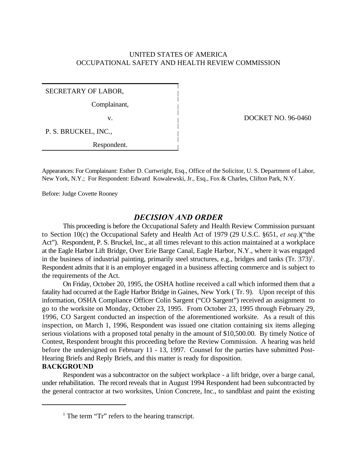# UNITED STATES OF AMERICA OCCUPATIONAL SAFETY AND HEALTH REVIEW COMMISSION

SECRETARY OF LABOR,

Complainant,

P. S. BRUCKEL, INC.,

Respondent.

v. **DOCKET NO. 96-0460** 

Appearances: For Complainant: Esther D. Curtwright, Esq., Office of the Solicitor, U. S. Department of Labor, New York, N.Y.; For Respondent: Edward Kowalewski, Jr., Esq., Fox & Charles, Clifton Park, N.Y.

Before: Judge Covette Rooney

# *DECISION AND ORDER*

This proceeding is before the Occupational Safety and Health Review Commission pursuant to Section 10(c) the Occupational Safety and Health Act of 1979 (29 U.S.C. §651, *et seq.*)("the Act"). Respondent, P. S. Bruckel, Inc., at all times relevant to this action maintained at a workplace at the Eagle Harbor Lift Bridge, Over Erie Barge Canal, Eagle Harbor, N.Y., where it was engaged in the business of industrial painting, primarily steel structures, e.g., bridges and tanks  $(Tr. 373)^1$ . Respondent admits that it is an employer engaged in a business affecting commerce and is subject to the requirements of the Act.

On Friday, October 20, 1995, the OSHA hotline received a call which informed them that a fatality had occurred at the Eagle Harbor Bridge in Gaines, New York ( Tr. 9). Upon receipt of this information, OSHA Compliance Officer Colin Sargent ("CO Sargent") received an assignment to go to the worksite on Monday, October 23, 1995. From October 23, 1995 through February 29, 1996, CO Sargent conducted an inspection of the aforementioned worksite. As a result of this inspection, on March 1, 1996, Respondent was issued one citation containing six items alleging serious violations with a proposed total penalty in the amount of \$10,500.00. By timely Notice of Contest, Respondent brought this proceeding before the Review Commission. A hearing was held before the undersigned on February 11 - 13, 1997. Counsel for the parties have submitted Post-Hearing Briefs and Reply Briefs, and this matter is ready for disposition.

### **BACKGROUND**

Respondent was a subcontractor on the subject workplace - a lift bridge, over a barge canal, under rehabilitation. The record reveals that in August 1994 Respondent had been subcontracted by the general contractor at two worksites, Union Concrete, Inc., to sandblast and paint the existing

 $<sup>1</sup>$  The term "Tr" refers to the hearing transcript.</sup>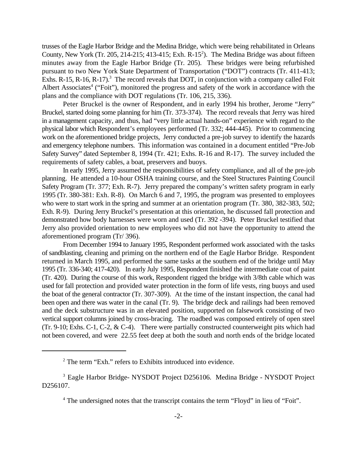trusses of the Eagle Harbor Bridge and the Medina Bridge, which were being rehabilitated in Orleans County, New York (Tr. 205, 214-215; 413-415; Exh.  $R-15<sup>2</sup>$ ). The Medina Bridge was about fifteen minutes away from the Eagle Harbor Bridge (Tr. 205). These bridges were being refurbished pursuant to two New York State Department of Transportation ("DOT") contracts (Tr. 411-413; Exhs. R-15, R-16, R-17).<sup>3</sup> The record reveals that DOT, in conjunction with a company called Foit Albert Associates<sup>4</sup> ("Foit"), monitored the progress and safety of the work in accordance with the plans and the compliance with DOT regulations (Tr. 106, 215, 336).

Peter Bruckel is the owner of Respondent, and in early 1994 his brother, Jerome "Jerry" Bruckel, started doing some planning for him (Tr. 373-374). The record reveals that Jerry was hired in a management capacity, and thus, had "very little actual hands-on" experience with regard to the physical labor which Respondent's employees performed (Tr. 332; 444-445). Prior to commencing work on the aforementioned bridge projects, Jerry conducted a pre-job survey to identify the hazards and emergency telephone numbers. This information was contained in a document entitled "Pre-Job Safety Survey" dated September 8, 1994 (Tr. 421; Exhs. R-16 and R-17). The survey included the requirements of safety cables, a boat, preservers and buoys.

In early 1995, Jerry assumed the responsibilities of safety compliance, and all of the pre-job planning. He attended a 10-hour OSHA training course, and the Steel Structures Painting Council Safety Program (Tr. 377; Exh. R-7). Jerry prepared the company's written safety program in early 1995 (Tr. 380-381: Exh. R-8). On March 6 and 7, 1995, the program was presented to employees who were to start work in the spring and summer at an orientation program (Tr. 380, 382-383, 502; Exh. R-9). During Jerry Bruckel's presentation at this orientation, he discussed fall protection and demonstrated how body harnesses were worn and used (Tr. 392 -394). Peter Bruckel testified that Jerry also provided orientation to new employees who did not have the opportunity to attend the aforementioned program (Tr/ 396).

From December 1994 to January 1995, Respondent performed work associated with the tasks of sandblasting, cleaning and priming on the northern end of the Eagle Harbor Bridge. Respondent returned in March 1995, and performed the same tasks at the southern end of the bridge until May 1995 (Tr. 336-340; 417-420). In early July 1995, Respondent finished the intermediate coat of paint (Tr. 420). During the course of this work, Respondent rigged the bridge with 3/8th cable which was used for fall protection and provided water protection in the form of life vests, ring buoys and used the boat of the general contractor (Tr. 307-309). At the time of the instant inspection, the canal had been open and there was water in the canal (Tr. 9). The bridge deck and railings had been removed and the deck substructure was in an elevated position, supported on falsework consisting of two vertical support columns joined by cross-bracing. The roadbed was composed entirely of open steel (Tr. 9-10; Exhs. C-1, C-2,  $&$  C-4). There were partially constructed counterweight pits which had not been covered, and were 22.55 feet deep at both the south and north ends of the bridge located

 $2$  The term "Exh." refers to Exhibits introduced into evidence.

<sup>&</sup>lt;sup>3</sup> Eagle Harbor Bridge- NYSDOT Project D256106. Medina Bridge - NYSDOT Project D256107.

<sup>&</sup>lt;sup>4</sup> The undersigned notes that the transcript contains the term "Floyd" in lieu of "Foit".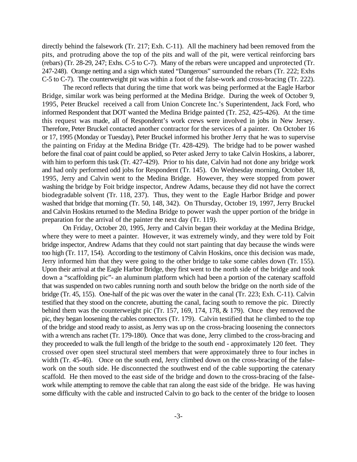directly behind the falsework (Tr. 217; Exh. C-11). All the machinery had been removed from the pits, and protruding above the top of the pits and wall of the pit, were vertical reinforcing bars (rebars) (Tr. 28-29, 247; Exhs. C-5 to C-7). Many of the rebars were uncapped and unprotected (Tr. 247-248). Orange netting and a sign which stated "Dangerous" surrounded the rebars (Tr. 222; Exhs C-5 to C-7). The counterweight pit was within a foot of the false-work and cross-bracing (Tr. 222).

The record reflects that during the time that work was being performed at the Eagle Harbor Bridge, similar work was being performed at the Medina Bridge. During the week of October 9, 1995, Peter Bruckel received a call from Union Concrete Inc.'s Superintendent, Jack Ford, who informed Respondent that DOT wanted the Medina Bridge painted (Tr. 252, 425-426). At the time this request was made, all of Respondent's work crews were involved in jobs in New Jersey. Therefore, Peter Bruckel contacted another contractor for the services of a painter. On October 16 or 17, 1995 (Monday or Tuesday), Peter Bruckel informed his brother Jerry that he was to supervise the painting on Friday at the Medina Bridge (Tr. 428-429). The bridge had to be power washed before the final coat of paint could be applied, so Peter asked Jerry to take Calvin Hoskins, a laborer, with him to perform this task (Tr. 427-429). Prior to his date, Calvin had not done any bridge work and had only performed odd jobs for Respondent (Tr. 145). On Wednesday morning, October 18, 1995, Jerry and Calvin went to the Medina Bridge. However, they were stopped from power washing the bridge by Foit bridge inspector, Andrew Adams, because they did not have the correct biodegradable solvent (Tr. 118, 237). Thus, they went to the Eagle Harbor Bridge and power washed that bridge that morning (Tr. 50, 148, 342). On Thursday, October 19, 1997, Jerry Bruckel and Calvin Hoskins returned to the Medina Bridge to power wash the upper portion of the bridge in preparation for the arrival of the painter the next day (Tr. 119).

On Friday, October 20, 1995, Jerry and Calvin began their workday at the Medina Bridge, where they were to meet a painter. However, it was extremely windy, and they were told by Foit bridge inspector, Andrew Adams that they could not start painting that day because the winds were too high (Tr. 117, 154). According to the testimony of Calvin Hoskins, once this decision was made, Jerry informed him that they were going to the other bridge to take some cables down (Tr. 155). Upon their arrival at the Eagle Harbor Bridge, they first went to the north side of the bridge and took down a "scaffolding pic"- an aluminum platform which had been a portion of the catenary scaffold that was suspended on two cables running north and south below the bridge on the north side of the bridge (Tr. 45, 155). One-half of the pic was over the water in the canal (Tr. 223; Exh. C-11). Calvin testified that they stood on the concrete, abutting the canal, facing south to remove the pic. Directly behind them was the counterweight pic (Tr. 157, 169, 174, 178, & 179). Once they removed the pic, they began loosening the cables connectors (Tr. 179). Calvin testified that he climbed to the top of the bridge and stood ready to assist, as Jerry was up on the cross-bracing loosening the connectors with a wrench ans rachet (Tr. 179-180). Once that was done, Jerry climbed to the cross-bracing and they proceeded to walk the full length of the bridge to the south end - approximately 120 feet. They crossed over open steel structural steel members that were approximately three to four inches in width (Tr. 45-46). Once on the south end, Jerry climbed down on the cross-bracing of the falsework on the south side. He disconnected the southwest end of the cable supporting the catenary scaffold. He then moved to the east side of the bridge and down to the cross-bracing of the falsework while attempting to remove the cable that ran along the east side of the bridge. He was having some difficulty with the cable and instructed Calvin to go back to the center of the bridge to loosen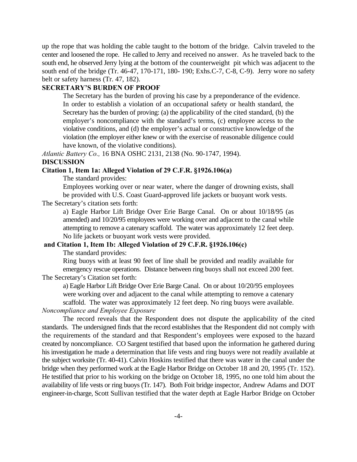up the rope that was holding the cable taught to the bottom of the bridge. Calvin traveled to the center and loosened the rope. He called to Jerry and received no answer. As he traveled back to the south end, he observed Jerry lying at the bottom of the counterweight pit which was adjacent to the south end of the bridge (Tr. 46-47, 170-171, 180- 190; Exhs.C-7, C-8, C-9). Jerry wore no safety belt or safety harness (Tr. 47, 182).

### **SECRETARY'S BURDEN OF PROOF**

The Secretary has the burden of proving his case by a preponderance of the evidence. In order to establish a violation of an occupational safety or health standard, the Secretary has the burden of proving: (a) the applicability of the cited standard, (b) the employer's noncompliance with the standard's terms, (c) employee access to the violative conditions, and (d) the employer's actual or constructive knowledge of the violation (the employer either knew or with the exercise of reasonable diligence could have known, of the violative conditions).

*Atlantic Battery Co.,* 16 BNA OSHC 2131, 2138 (No. 90-1747, 1994).

#### **DISCUSSION**

## **Citation 1, Item 1a: Alleged Violation of 29 C.F.R. §1926.106(a)**

The standard provides:

Employees working over or near water, where the danger of drowning exists, shall be provided with U.S. Coast Guard-approved life jackets or buoyant work vests.

The Secretary's citation sets forth:

a) Eagle Harbor Lift Bridge Over Erie Barge Canal. On or about 10/18/95 (as amended) and 10/20/95 employees were working over and adjacent to the canal while attempting to remove a catenary scaffold. The water was approximately 12 feet deep. No life jackets or buoyant work vests were provided.

### **and Citation 1, Item 1b: Alleged Violation of 29 C.F.R. §1926.106(c)**

The standard provides:

Ring buoys with at least 90 feet of line shall be provided and readily available for emergency rescue operations. Distance between ring buoys shall not exceed 200 feet. The Secretary's Citation set forth:

a) Eagle Harbor Lift Bridge Over Erie Barge Canal. On or about 10/20/95 employees were working over and adjacent to the canal while attempting to remove a catenary scaffold. The water was approximately 12 feet deep. No ring buoys were available.

## *Noncompliance and Employee Exposure*

The record reveals that the Respondent does not dispute the applicability of the cited standards. The undersigned finds that the record establishes that the Respondent did not comply with the requirements of the standard and that Respondent's employees were exposed to the hazard created by noncompliance. CO Sargent testified that based upon the information he gathered during his investigation he made a determination that life vests and ring buoys were not readily available at the subject worksite (Tr. 40-41). Calvin Hoskins testified that there was water in the canal under the bridge when they performed work at the Eagle Harbor Bridge on October 18 and 20, 1995 (Tr. 152). He testified that prior to his working on the bridge on October 18, 1995, no one told him about the availability of life vests or ring buoys (Tr. 147). Both Foit bridge inspector, Andrew Adams and DOT engineer-in-charge, Scott Sullivan testified that the water depth at Eagle Harbor Bridge on October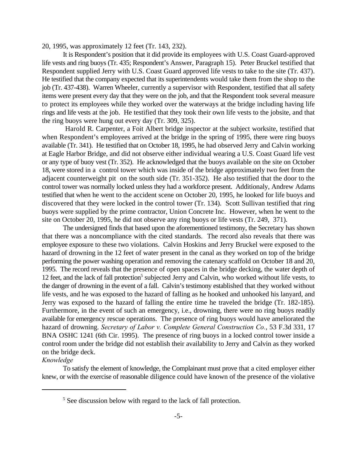20, 1995, was approximately 12 feet (Tr. 143, 232).

It is Respondent's position that it did provide its employees with U.S. Coast Guard-approved life vests and ring buoys (Tr. 435; Respondent's Answer, Paragraph 15). Peter Bruckel testified that Respondent supplied Jerry with U.S. Coast Guard approved life vests to take to the site (Tr. 437). He testified that the company expected that its superintendents would take them from the shop to the job (Tr. 437-438). Warren Wheeler, currently a supervisor with Respondent, testified that all safety items were present every day that they were on the job, and that the Respondent took several measure to protect its employees while they worked over the waterways at the bridge including having life rings and life vests at the job. He testified that they took their own life vests to the jobsite, and that the ring buoys were hung out every day (Tr. 309, 325).

 Harold R. Carpenter, a Foit Albert bridge inspector at the subject worksite, testified that when Respondent's employees arrived at the bridge in the spring of 1995, there were ring buoys available (Tr. 341). He testified that on October 18, 1995, he had observed Jerry and Calvin working at Eagle Harbor Bridge, and did not observe either individual wearing a U.S. Coast Guard life vest or any type of buoy vest (Tr. 352). He acknowledged that the buoys available on the site on October 18, were stored in a control tower which was inside of the bridge approximately two feet from the adjacent counterweight pit on the south side (Tr. 351-352). He also testified that the door to the control tower was normally locked unless they had a workforce present. Additionaly, Andrew Adams testified that when he went to the accident scene on October 20, 1995, he looked for life buoys and discovered that they were locked in the control tower (Tr. 134). Scott Sullivan testified that ring buoys were supplied by the prime contractor, Union Concrete Inc. However, when he went to the site on October 20, 1995, he did not observe any ring buoys or life vests (Tr. 249, 371).

The undersigned finds that based upon the aforementioned testimony, the Secretary has shown that there was a noncompliance with the cited standards. The record also reveals that there was employee exposure to these two violations. Calvin Hoskins and Jerry Bruckel were exposed to the hazard of drowning in the 12 feet of water present in the canal as they worked on top of the bridge performing the power washing operation and removing the catenary scaffold on October 18 and 20, 1995. The record reveals that the presence of open spaces in the bridge decking, the water depth of 12 feet, and the lack of fall protection<sup>5</sup> subjected Jerry and Calvin, who worked without life vests, to the danger of drowning in the event of a fall. Calvin's testimony established that they worked without life vests, and he was exposed to the hazard of falling as he hooked and unhooked his lanyard, and Jerry was exposed to the hazard of falling the entire time he traveled the bridge (Tr. 182-185). Furthermore, in the event of such an emergency, i.e., drowning, there were no ring buoys readily available for emergency rescue operations. The presence of ring buoys would have ameliorated the hazard of drowning. *Secretary of Labor v. Complete General Construction Co.*, 53 F.3d 331, 17 BNA OSHC 1241 (6th Cir. 1995). The presence of ring buoys in a locked control tower inside a control room under the bridge did not establish their availability to Jerry and Calvin as they worked on the bridge deck.

# *Knowledge*

To satisfy the element of knowledge, the Complainant must prove that a cited employer either knew, or with the exercise of reasonable diligence could have known of the presence of the violative

 $<sup>5</sup>$  See discussion below with regard to the lack of fall protection.</sup>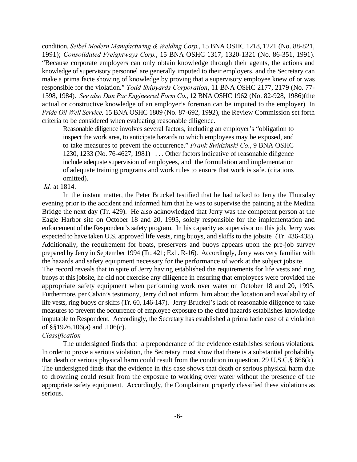condition. *Seibel Modern Manufacturing & Welding Corp.*, 15 BNA OSHC 1218, 1221 (No. 88-821, 1991); *Consolidated Freightways Corp.*, 15 BNA OSHC 1317, 1320-1321 (No. 86-351, 1991). "Because corporate employers can only obtain knowledge through their agents, the actions and knowledge of supervisory personnel are generally imputed to their employers, and the Secretary can make a prima facie showing of knowledge by proving that a supervisory employee knew of or was responsible for the violation." *Todd Shipyards Corporation*, 11 BNA OSHC 2177, 2179 (No. 77- 1598, 1984). *See also Dun Par Engineered Form Co.*, 12 BNA OSHC 1962 (No. 82-928, 1986)(the actual or constructive knowledge of an employer's foreman can be imputed to the employer). In *Pride Oil Well Service,* 15 BNA OSHC 1809 (No. 87-692, 1992), the Review Commission set forth criteria to be considered when evaluating reasonable diligence.

Reasonable diligence involves several factors, including an employer's "obligation to inspect the work area, to anticipate hazards to which employees may be exposed, and to take measures to prevent the occurrence." *Frank Swidzinski Co*., 9 BNA OSHC 1230, 1233 (No. 76-4627, 1981) . . . Other factors indicative of reasonable diligence include adequate supervision of employees, and the formulation and implementation of adequate training programs and work rules to ensure that work is safe. (citations omitted).

#### *Id.* at 1814.

In the instant matter, the Peter Bruckel testified that he had talked to Jerry the Thursday evening prior to the accident and informed him that he was to supervise the painting at the Medina Bridge the next day (Tr. 429). He also acknowledged that Jerry was the competent person at the Eagle Harbor site on October 18 and 20, 1995, solely responsible for the implementation and enforcement of the Respondent's safety program. In his capacity as supervisor on this job, Jerry was expected to have taken U.S. approved life vests, ring buoys, and skiffs to the jobsite (Tr. 436-438). Additionally, the requirement for boats, preservers and buoys appears upon the pre-job survey prepared by Jerry in September 1994 (Tr. 421; Exh. R-16). Accordingly, Jerry was very familiar with the hazards and safety equipment necessary for the performance of work at the subject jobsite. The record reveals that in spite of Jerry having established the requirements for life vests and ring buoys at this jobsite, he did not exercise any diligence in ensuring that employees were provided the appropriate safety equipment when performing work over water on October 18 and 20, 1995. Furthermore, per Calvin's testimony, Jerry did not inform him about the location and availability of life vests, ring buoys or skiffs (Tr. 60, 146-147). Jerry Bruckel's lack of reasonable diligence to take measures to prevent the occurrence of employee exposure to the cited hazards establishes knowledge imputable to Respondent. Accordingly, the Secretary has established a prima facie case of a violation of §§1926.106(a) and .106(c).

### *Classification*

The undersigned finds that a preponderance of the evidence establishes serious violations. In order to prove a serious violation, the Secretary must show that there is a substantial probability that death or serious physical harm could result from the condition in question. 29 U.S.C.§ 666(k). The undersigned finds that the evidence in this case shows that death or serious physical harm due to drowning could result from the exposure to working over water without the presence of the appropriate safety equipment. Accordingly, the Complainant properly classified these violations as serious.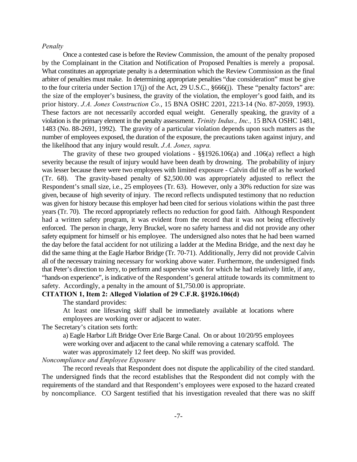#### *Penalty*

Once a contested case is before the Review Commission, the amount of the penalty proposed by the Complainant in the Citation and Notification of Proposed Penalties is merely a proposal. What constitutes an appropriate penalty is a determination which the Review Commission as the final arbiter of penalties must make.In determining appropriate penalties "due consideration" must be give to the four criteria under Section 17(j) of the Act, 29 U.S.C., §666(j). These "penalty factors" are: the size of the employer's business, the gravity of the violation, the employer's good faith, and its prior history. *J.A. Jones Construction Co.*, 15 BNA OSHC 2201, 2213-14 (No. 87-2059, 1993). These factors are not necessarily accorded equal weight. Generally speaking, the gravity of a violation is the primary element in the penalty assessment. *Trinity Indus., Inc.,* 15 BNA OSHC 1481, 1483 (No. 88-2691, 1992). The gravity of a particular violation depends upon such matters as the number of employees exposed, the duration of the exposure, the precautions taken against injury, and the likelihood that any injury would result. *J.A. Jones, supra.*

The gravity of these two grouped violations -  $\S$ §1926.106(a) and .106(a) reflect a high severity because the result of injury would have been death by drowning. The probability of injury was lesser because there were two employees with limited exposure - Calvin did tie off as he worked (Tr. 68). The gravity-based penalty of \$2,500.00 was appropriately adjusted to reflect the Respondent's small size, i.e., 25 employees (Tr. 63). However, only a 30% reduction for size was given, because of high severity of injury. The record reflects undisputed testimony that no reduction was given for history because this employer had been cited for serious violations within the past three years (Tr. 70). The record appropriately reflects no reduction for good faith. Although Respondent had a written safety program, it was evident from the record that it was not being effectively enforced. The person in charge, Jerry Bruckel, wore no safety harness and did not provide any other safety equipment for himself or his employee. The undersigned also notes that he had been warned the day before the fatal accident for not utilizing a ladder at the Medina Bridge, and the next day he did the same thing at the Eagle Harbor Bridge (Tr. 70-71). Additionally, Jerry did not provide Calvin all of the necessary training necessary for working above water. Furthermore, the undersigned finds that Peter's direction to Jerry, to perform and supervise work for which he had relatively little, if any, "hands-on experience", is indicative of the Respondent's general attitude towards its commitment to safety. Accordingly, a penalty in the amount of \$1,750.00 is appropriate.

# **CITATION 1, Item 2: Alleged Violation of 29 C.F.R. §1926.106(d)**

The standard provides:

At least one lifesaving skiff shall be immediately available at locations where employees are working over or adjacent to water.

The Secretary's citation sets forth:

a) Eagle Harbor Lift Bridge Over Erie Barge Canal. On or about 10/20/95 employees were working over and adjacent to the canal while removing a catenary scaffold. The water was approximately 12 feet deep. No skiff was provided.

#### *Noncompliance and Employee Exposure*

The record reveals that Respondent does not dispute the applicability of the cited standard. The undersigned finds that the record establishes that the Respondent did not comply with the requirements of the standard and that Respondent's employees were exposed to the hazard created by noncompliance. CO Sargent testified that his investigation revealed that there was no skiff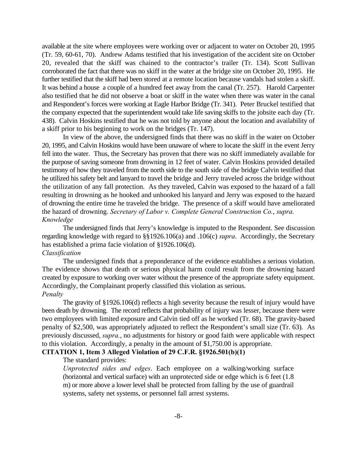available at the site where employees were working over or adjacent to water on October 20, 1995 (Tr. 59, 60-61, 70). Andrew Adams testified that his investigation of the accident site on October 20, revealed that the skiff was chained to the contractor's trailer (Tr. 134). Scott Sullivan corroborated the fact that there was no skiff in the water at the bridge site on October 20, 1995. He further testified that the skiff had been stored at a remote location because vandals had stolen a skiff. It was behind a house a couple of a hundred feet away from the canal (Tr. 257). Harold Carpenter also testified that he did not observe a boat or skiff in the water when there was water in the canal and Respondent's forces were working at Eagle Harbor Bridge (Tr. 341). Peter Bruckel testified that the company expected that the superintendent would take life saving skiffs to the jobsite each day (Tr. 438). Calvin Hoskins testified that he was not told by anyone about the location and availability of a skiff prior to his beginning to work on the bridges (Tr. 147).

In view of the above, the undersigned finds that there was no skiff in the water on October 20, 1995, and Calvin Hoskins would have been unaware of where to locate the skiff in the event Jerry fell into the water. Thus, the Secretary has proven that there was no skiff immediately available for the purpose of saving someone from drowning in 12 feet of water. Calvin Hoskins provided detailed testimony of how they traveled from the north side to the south side of the bridge Calvin testified that he utilized his safety belt and lanyard to travel the bridge and Jerry traveled across the bridge without the utilization of any fall protection. As they traveled, Calvin was exposed to the hazard of a fall resulting in drowning as he hooked and unhooked his lanyard and Jerry was exposed to the hazard of drowning the entire time he traveled the bridge. The presence of a skiff would have ameliorated the hazard of drowning. *Secretary of Labor v. Complete General Construction Co.*, *supra. Knowledge*

The undersigned finds that Jerry's knowledge is imputed to the Respondent. See discussion regarding knowledge with regard to §§1926.106(a) and .106(c) *supra*. Accordingly, the Secretary has established a prima facie violation of §1926.106(d).

## *Classification*

The undersigned finds that a preponderance of the evidence establishes a serious violation. The evidence shows that death or serious physical harm could result from the drowning hazard created by exposure to working over water without the presence of the appropriate safety equipment. Accordingly, the Complainant properly classified this violation as serious. *Penalty*

The gravity of §1926.106(d) reflects a high severity because the result of injury would have been death by drowning. The record reflects that probability of injury was lesser, because there were two employees with limited exposure and Calvin tied off as he worked (Tr. 68). The gravity-based penalty of \$2,500, was appropriately adjusted to reflect the Respondent's small size (Tr. 63). As previously discussed, *supra.*, no adjustments for history or good faith were applicable with respect to this violation. Accordingly, a penalty in the amount of \$1,750.00 is appropriate.

### **CITATION 1, Item 3 Alleged Violation of 29 C.F.R. §1926.501(b)(1)**

# The standard provides:

*Unprotected sides and edges*. Each employee on a walking/working surface (horizontal and vertical surface) with an unprotected side or edge which is 6 feet (1.8 m) or more above a lower level shall be protected from falling by the use of guardrail systems, safety net systems, or personnel fall arrest systems.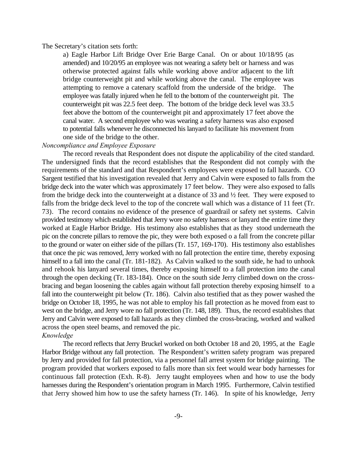#### The Secretary's citation sets forth:

a) Eagle Harbor Lift Bridge Over Erie Barge Canal. On or about 10/18/95 (as amended) and 10/20/95 an employee was not wearing a safety belt or harness and was otherwise protected against falls while working above and/or adjacent to the lift bridge counterweight pit and while working above the canal. The employee was attempting to remove a catenary scaffold from the underside of the bridge. The employee was fatally injured when he fell to the bottom of the counterweight pit. The counterweight pit was 22.5 feet deep. The bottom of the bridge deck level was 33.5 feet above the bottom of the counterweight pit and approximately 17 feet above the canal water. A second employee who was wearing a safety harness was also exposed to potential falls whenever he disconnected his lanyard to facilitate his movement from one side of the bridge to the other.

#### *Noncompliance and Employee Exposure*

The record reveals that Respondent does not dispute the applicability of the cited standard. The undersigned finds that the record establishes that the Respondent did not comply with the requirements of the standard and that Respondent's employees were exposed to fall hazards. CO Sargent testified that his investigation revealed that Jerry and Calvin were exposed to falls from the bridge deck into the water which was approximately 17 feet below. They were also exposed to falls from the bridge deck into the counterweight at a distance of 33 and ½ feet. They were exposed to falls from the bridge deck level to the top of the concrete wall which was a distance of 11 feet (Tr. 73). The record contains no evidence of the presence of guardrail or safety net systems. Calvin provided testimony which established that Jerry wore no safety harness or lanyard the entire time they worked at Eagle Harbor Bridge. His testimony also establishes that as they stood underneath the pic on the concrete pillars to remove the pic, they were both exposed o a fall from the concrete pillar to the ground or water on either side of the pillars (Tr. 157, 169-170). His testimony also establishes that once the pic was removed, Jerry worked with no fall protection the entire time, thereby exposing himself to a fall into the canal (Tr. 181-182). As Calvin walked to the south side, he had to unhook and rehook his lanyard several times, thereby exposing himself to a fall protection into the canal through the open decking (Tr. 183-184). Once on the south side Jerry climbed down on the crossbracing and began loosening the cables again without fall protection thereby exposing himself to a fall into the counterweight pit below (Tr. 186). Calvin also testified that as they power washed the bridge on October 18, 1995, he was not able to employ his fall protection as he moved from east to west on the bridge, and Jerry wore no fall protection (Tr. 148, 189). Thus, the record establishes that Jerry and Calvin were exposed to fall hazards as they climbed the cross-bracing, worked and walked across the open steel beams, and removed the pic. *Knowledge*

The record reflects that Jerry Bruckel worked on both October 18 and 20, 1995, at the Eagle Harbor Bridge without any fall protection. The Respondent's written safety program was prepared by Jerry and provided for fall protection, via a personnel fall arrest system for bridge painting. The program provided that workers exposed to falls more than six feet would wear body harnesses for continuous fall protection (Exh. R-8). Jerry taught employees when and how to use the body harnesses during the Respondent's orientation program in March 1995. Furthermore, Calvin testified that Jerry showed him how to use the safety harness (Tr. 146). In spite of his knowledge, Jerry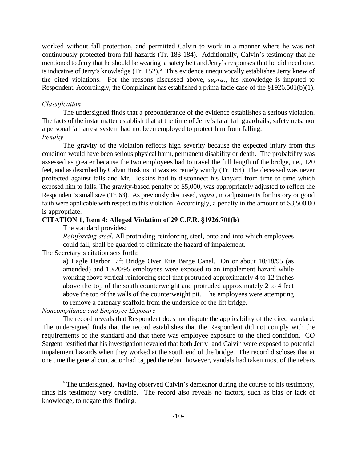worked without fall protection, and permitted Calvin to work in a manner where he was not continuously protected from fall hazards (Tr. 183-184). Additionally, Calvin's testimony that he mentioned to Jerry that he should be wearing a safety belt and Jerry's responses that he did need one, is indicative of Jerry's knowledge (Tr. 152).<sup> $6$ </sup> This evidence unequivocally establishes Jerry knew of the cited violations. For the reasons discussed above, *supra.*, his knowledge is imputed to Respondent. Accordingly, the Complainant has established a prima facie case of the §1926.501(b)(1).

#### *Classification*

The undersigned finds that a preponderance of the evidence establishes a serious violation. The facts of the instat matter establish that at the time of Jerry's fatal fall guardrails, safety nets, nor a personal fall arrest system had not been employed to protect him from falling. *Penalty*

The gravity of the violation reflects high severity because the expected injury from this condition would have been serious physical harm, permanent disability or death. The probability was assessed as greater because the two employees had to travel the full length of the bridge, i.e., 120 feet, and as described by Calvin Hoskins, it was extremely windy (Tr. 154). The deceased was never protected against falls and Mr. Hoskins had to disconnect his lanyard from time to time which exposed him to falls. The gravity-based penalty of \$5,000, was appropriately adjusted to reflect the Respondent's small size (Tr. 63). As previously discussed, *supra.*, no adjustments for history or good faith were applicable with respect to this violation Accordingly, a penalty in the amount of \$3,500.00 is appropriate.

# **CITATION 1, Item 4: Alleged Violation of 29 C.F.R. §1926.701(b)**

The standard provides:

*Reinforcing steel*. All protruding reinforcing steel, onto and into which employees could fall, shall be guarded to eliminate the hazard of impalement.

The Secretary's citation sets forth:

a) Eagle Harbor Lift Bridge Over Erie Barge Canal. On or about 10/18/95 (as amended) and 10/20/95 employees were exposed to an impalement hazard while working above vertical reinforcing steel that protruded approximately 4 to 12 inches above the top of the south counterweight and protruded approximately 2 to 4 feet above the top of the walls of the counterweight pit. The employees were attempting to remove a catenary scaffold from the underside of the lift bridge.

#### *Noncompliance and Employee Exposure*

The record reveals that Respondent does not dispute the applicability of the cited standard. The undersigned finds that the record establishes that the Respondent did not comply with the requirements of the standard and that there was employee exposure to the cited condition. CO Sargent testified that his investigation revealed that both Jerry and Calvin were exposed to potential impalement hazards when they worked at the south end of the bridge. The record discloses that at one time the general contractor had capped the rebar, however, vandals had taken most of the rebars

 $6$ The undersigned, having observed Calvin's demeanor during the course of his testimony, finds his testimony very credible. The record also reveals no factors, such as bias or lack of knowledge, to negate this finding.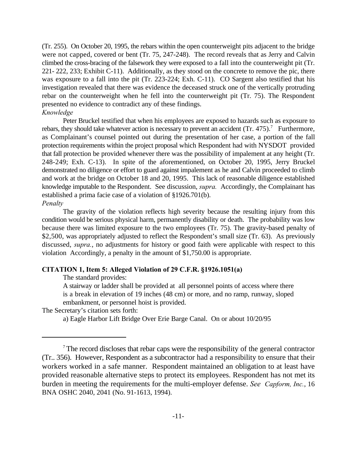(Tr. 255). On October 20, 1995, the rebars within the open counterweight pits adjacent to the bridge were not capped, covered or bent (Tr. 75, 247-248). The record reveals that as Jerry and Calvin climbed the cross-bracing of the falsework they were exposed to a fall into the counterweight pit (Tr. 221- 222, 233; Exhibit C-11). Additionally, as they stood on the concrete to remove the pic, there was exposure to a fall into the pit (Tr. 223-224; Exh. C-11). CO Sargent also testified that his investigation revealed that there was evidence the deceased struck one of the vertically protruding rebar on the counterweight when he fell into the counterweight pit (Tr. 75). The Respondent presented no evidence to contradict any of these findings. *Knowledge*

Peter Bruckel testified that when his employees are exposed to hazards such as exposure to rebars, they should take whatever action is necessary to prevent an accident  $(Tr. 475)$ .<sup>7</sup> Furthermore, as Complainant's counsel pointed out during the presentation of her case, a portion of the fall protection requirements within the project proposal which Respondent had with NYSDOT provided that fall protection be provided whenever there was the possibility of impalement at any height (Tr. 248-249; Exh. C-13). In spite of the aforementioned, on October 20, 1995, Jerry Bruckel demonstrated no diligence or effort to guard against impalement as he and Calvin proceeded to climb and work at the bridge on October 18 and 20, 1995. This lack of reasonable diligence established knowledge imputable to the Respondent. See discussion, *supra.* Accordingly, the Complainant has established a prima facie case of a violation of §1926.701(b). *Penalty*

The gravity of the violation reflects high severity because the resulting injury from this condition would be serious physical harm, permanently disability or death. The probability was low because there was limited exposure to the two employees (Tr. 75). The gravity-based penalty of \$2,500, was appropriately adjusted to reflect the Respondent's small size (Tr. 63). As previously discussed, *supra.*, no adjustments for history or good faith were applicable with respect to this violation Accordingly, a penalty in the amount of \$1,750.00 is appropriate.

## **CITATION 1, Item 5: Alleged Violation of 29 C.F.R. §1926.1051(a)**

The standard provides:

A stairway or ladder shall be provided at all personnel points of access where there is a break in elevation of 19 inches (48 cm) or more, and no ramp, runway, sloped embankment, or personnel hoist is provided.

The Secretary's citation sets forth:

a) Eagle Harbor Lift Bridge Over Erie Barge Canal. On or about 10/20/95

<sup>&</sup>lt;sup>7</sup> The record discloses that rebar caps were the responsibility of the general contractor (Tr.. 356). However, Respondent as a subcontractor had a responsibility to ensure that their workers worked in a safe manner. Respondent maintained an obligation to at least have provided reasonable alternative steps to protect its employees. Respondent has not met its burden in meeting the requirements for the multi-employer defense. *See Capform, Inc.*, 16 BNA OSHC 2040, 2041 (No. 91-1613, 1994).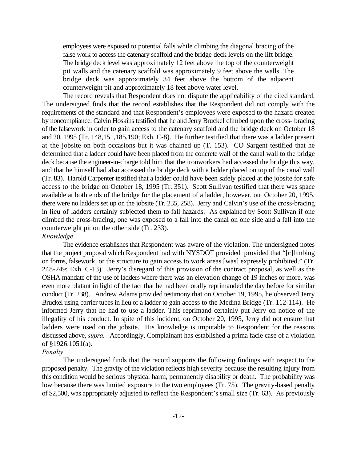employees were exposed to potential falls while climbing the diagonal bracing of the false work to access the catenary scaffold and the bridge deck levels on the lift bridge. The bridge deck level was approximately 12 feet above the top of the counterweight pit walls and the catenary scaffold was approximately 9 feet above the walls. The bridge deck was approximately 34 feet above the bottom of the adjacent counterweight pit and approximately 18 feet above water level.

The record reveals that Respondent does not dispute the applicability of the cited standard. The undersigned finds that the record establishes that the Respondent did not comply with the requirements of the standard and that Respondent's employees were exposed to the hazard created by noncompliance. Calvin Hoskins testified that he and Jerry Bruckel climbed upon the cross- bracing of the falsework in order to gain access to the catenary scaffold and the bridge deck on October 18 and 20, 1995 (Tr. 148,151,185,190; Exh. C-8). He further testified that there was a ladder present at the jobsite on both occasions but it was chained up (T. 153). CO Sargent testified that he determined that a ladder could have been placed from the concrete wall of the canal wall to the bridge deck because the engineer-in-charge told him that the ironworkers had accessed the bridge this way, and that he himself had also accessed the bridge deck with a ladder placed on top of the canal wall (Tr. 83). Harold Carpenter testified that a ladder could have been safely placed at the jobsite for safe access to the bridge on October 18, 1995 (Tr. 351). Scott Sullivan testified that there was space available at both ends of the bridge for the placement of a ladder, however, on October 20, 1995, there were no ladders set up on the jobsite (Tr. 235, 258). Jerry and Calvin's use of the cross-bracing in lieu of ladders certainly subjected them to fall hazards. As explained by Scott Sullivan if one climbed the cross-bracing, one was exposed to a fall into the canal on one side and a fall into the counterweight pit on the other side (Tr. 233). *Knowledge*

The evidence establishes that Respondent was aware of the violation. The undersigned notes that the project proposal which Respondent had with NYSDOT provided provided that "[c]limbing on forms, falsework, or the structure to gain access to work areas [was] expressly prohibited." (Tr. 248-249; Exh. C-13). Jerry's disregard of this provision of the contract proposal, as well as the OSHA mandate of the use of ladders where there was an elevation change of 19 inches or more, was even more blatant in light of the fact that he had been orally reprimanded the day before for similar conduct (Tr. 238). Andrew Adams provided testimony that on October 19, 1995, he observed Jerry Bruckel using barrier tubes in lieu of a ladder to gain access to the Medina Bridge (Tr. 112-114). He informed Jerry that he had to use a ladder. This reprimand certainly put Jerry on notice of the illegality of his conduct. In spite of this incident, on October 20, 1995, Jerry did not ensure that ladders were used on the jobsite. His knowledge is imputable to Respondent for the reasons discussed above, *supra.* Accordingly, Complainant has established a prima facie case of a violation of §1926.1051(a).

#### *Penalty*

The undersigned finds that the record supports the following findings with respect to the proposed penalty. The gravity of the violation reflects high severity because the resulting injury from this condition would be serious physical harm, permanently disability or death. The probability was low because there was limited exposure to the two employees (Tr. 75). The gravity-based penalty of \$2,500, was appropriately adjusted to reflect the Respondent's small size (Tr. 63). As previously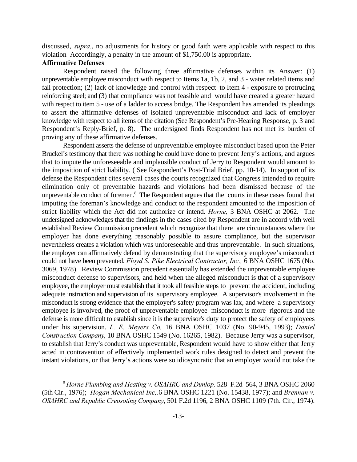discussed, *supra.*, no adjustments for history or good faith were applicable with respect to this violation Accordingly, a penalty in the amount of \$1,750.00 is appropriate.

#### **Affirmative Defenses**

Respondent raised the following three affirmative defenses within its Answer: (1) unpreventable employee misconduct with respect to Items 1a, 1b, 2, and 3 - water related items and fall protection; (2) lack of knowledge and control with respect to Item 4 - exposure to protruding reinforcing steel; and (3) that compliance was not feasible and would have created a greater hazard with respect to item 5 - use of a ladder to access bridge. The Respondent has amended its pleadings to assert the affirmative defenses of isolated unpreventable misconduct and lack of employer knowledge with respect to all items of the citation (See Respondent's Pre-Hearing Response, p. 3 and Respondent's Reply-Brief, p. 8). The undersigned finds Respondent has not met its burden of proving any of these affirmative defenses.

Respondent asserts the defense of unpreventable employee misconduct based upon the Peter Bruckel's testimony that there was nothing he could have done to prevent Jerry's actions, and argues that to impute the unforeseeable and implausible conduct of Jerry to Respondent would amount to the imposition of strict liability. ( See Respondent's Post-Trial Brief, pp. 10-14). In support of its defense the Respondent cites several cases the courts recognized that Congress intended to require elimination only of preventable hazards and violations had been dismissed because of the unpreventable conduct of foremen. $<sup>8</sup>$  The Respondent argues that the courts in these cases found that</sup> imputing the foreman's knowledge and conduct to the respondent amounted to the imposition of strict liability which the Act did not authorize or intend. *Horne,* 3 BNA OSHC at 2062. The undersigned acknowledges that the findings in the cases cited by Respondent are in accord with well established Review Commission precedent which recognize that there are circumstances where the employer has done everything reasonably possible to assure compliance, but the supervisor nevertheless creates a violation which was unforeseeable and thus unpreventable. In such situations, the employer can affirmatively defend by demonstrating that the supervisory employee's misconduct could not have been prevented. *Floyd S. Pike Electrical Contractor, Inc.,* 6 BNA OSHC 1675 (No. 3069, 1978). Review Commission precedent essentially has extended the unpreventable employee misconduct defense to supervisors, and held when the alleged misconduct is that of a supervisory employee, the employer must establish that it took all feasible steps to prevent the accident, including adequate instruction and supervision of its supervisory employee. A supervisor's involvement in the misconduct is strong evidence that the employer's safety program was lax, and where a supervisory employee is involved, the proof of unpreventable employee misconduct is more rigorous and the defense is more difficult to establish since it is the supervisor's duty to protect the safety of employees under his supervision. *L. E. Meyers Co,* 16 BNA OSHC 1037 (No. 90-945, 1993); *Daniel Construction Company,* 10 BNA OSHC 1549 (No. 16265, 1982). Because Jerry was a supervisor, to establish that Jerry's conduct was unpreventable, Respondent would have to show either that Jerry acted in contravention of effectively implemented work rules designed to detect and prevent the instant violations, or that Jerry's actions were so idiosyncratic that an employer would not take the

*Horne Plumbing and Heating v. OSAHRC and Dunlop,* 528 F.2d 564, 3 BNA OSHC 2060 <sup>8</sup> (5th Cir., 1976); *Hogan Mechanical Inc,.*6 BNA OSHC 1221 (No. 15438, 1977); and *Brennan v. OSAHRC and Republic Creosoting Company*, 501 F.2d 1196, 2 BNA OSHC 1109 (7th. Cir., 1974).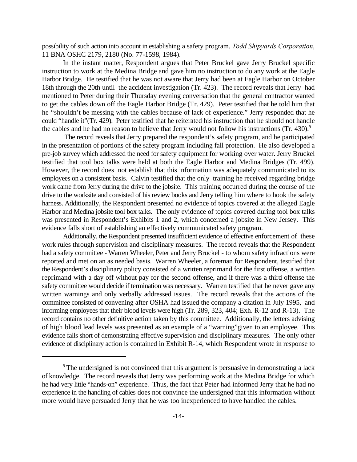possibility of such action into account in establishing a safety program. *Todd Shipyards Corporation*, 11 BNA OSHC 2179, 2180 (No. 77-1598, 1984).

In the instant matter, Respondent argues that Peter Bruckel gave Jerry Bruckel specific instruction to work at the Medina Bridge and gave him no instruction to do any work at the Eagle Harbor Bridge. He testified that he was not aware that Jerry had been at Eagle Harbor on October 18th through the 20th until the accident investigation (Tr. 423). The record reveals that Jerry had mentioned to Peter during their Thursday evening conversation that the general contractor wanted to get the cables down off the Eagle Harbor Bridge (Tr. 429). Peter testified that he told him that he "shouldn't be messing with the cables because of lack of experience." Jerry responded that he could "handle it"(Tr. 429). Peter testified that he reiterated his instruction that he should not handle the cables and he had no reason to believe that Jerry would not follow his instructions  $(Tr, 430)^{9}$ 

 The record reveals that Jerry prepared the respondent's safety program, and he participated in the presentation of portions of the safety program including fall protection. He also developed a pre-job survey which addressed the need for safety equipment for working over water. Jerry Bruckel testified that tool box talks were held at both the Eagle Harbor and Medina Bridges (Tr. 499). However, the record does not establish that this information was adequately communicated to its employees on a consistent basis. Calvin testified that the only training he received regarding bridge work came from Jerry during the drive to the jobsite. This training occurred during the course of the drive to the worksite and consisted of his review books and Jerry telling him where to hook the safety harness. Additionally, the Respondent presented no evidence of topics covered at the alleged Eagle Harbor and Medina jobsite tool box talks. The only evidence of topics covered during tool box talks was presented in Respondent's Exhibits 1 and 2, which concerned a jobsite in New Jersey. This evidence falls short of establishing an effectively communicated safety program.

Additionally, the Respondent presented insufficient evidence of effective enforcement of these work rules through supervision and disciplinary measures. The record reveals that the Respondent had a safety committee - Warren Wheeler, Peter and Jerry Bruckel - to whom safety infractions were reported and met on an as needed basis. Warren Wheeler, a foreman for Respondent, testified that the Respondent's disciplinary policy consisted of a written reprimand for the first offense, a written reprimand with a day off without pay for the second offense, and if there was a third offense the safety committee would decide if termination was necessary. Warren testified that he never gave any written warnings and only verbally addressed issues. The record reveals that the actions of the committee consisted of convening after OSHA had issued the company a citation in July 1995, and informing employees that their blood levels were high (Tr. 289, 323, 404; Exh. R-12 and R-13). The record contains no other definitive action taken by this committee. Additionally, the letters advising of high blood lead levels was presented as an example of a "warning"given to an employee. This evidence falls short of demonstrating effective supervision and disciplinary measures. The only other evidence of disciplinary action is contained in Exhibit R-14, which Respondent wrote in response to

<sup>&</sup>lt;sup>9</sup> The undersigned is not convinced that this argument is persuasive in demonstrating a lack of knowledge. The record reveals that Jerry was performing work at the Medina Bridge for which he had very little "hands-on" experience. Thus, the fact that Peter had informed Jerry that he had no experience in the handling of cables does not convince the undersigned that this information without more would have persuaded Jerry that he was too inexperienced to have handled the cables.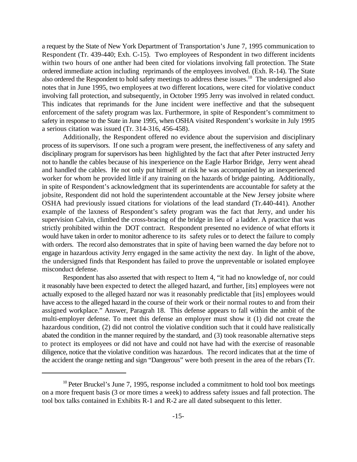a request by the State of New York Department of Transportation's June 7, 1995 communication to Respondent (Tr. 439-440; Exh. C-15). Two employees of Respondent in two different incidents within two hours of one anther had been cited for violations involving fall protection. The State ordered immediate action including reprimands of the employees involved. (Exh. R-14). The State also ordered the Respondent to hold safety meetings to address these issues.<sup>10</sup> The undersigned also notes that in June 1995, two employees at two different locations, were cited for violative conduct involving fall protection, and subsequently, in October 1995 Jerry was involved in related conduct. This indicates that reprimands for the June incident were ineffective and that the subsequent enforcement of the safety program was lax. Furthermore, in spite of Respondent's commitment to safety in response to the State in June 1995, when OSHA visited Respondent's worksite in July 1995 a serious citation was issued (Tr. 314-316, 456-458).

Additionally, the Respondent offered no evidence about the supervision and disciplinary process of its supervisors. If one such a program were present, the ineffectiveness of any safety and disciplinary program for supervisors has been highlighted by the fact that after Peter instructed Jerry not to handle the cables because of his inexperience on the Eagle Harbor Bridge, Jerry went ahead and handled the cables. He not only put himself at risk he was accompanied by an inexperienced worker for whom he provided little if any training on the hazards of bridge painting. Additionally, in spite of Respondent's acknowledgment that its superintendents are accountable for safety at the jobsite, Respondent did not hold the superintendent accountable at the New Jersey jobsite where OSHA had previously issued citations for violations of the lead standard (Tr.440-441). Another example of the laxness of Respondent's safety program was the fact that Jerry, and under his supervision Calvin, climbed the cross-bracing of the bridge in lieu of a ladder. A practice that was strictly prohibited within the DOT contract. Respondent presented no evidence of what efforts it would have taken in order to monitor adherence to its safety rules or to detect the failure to comply with orders. The record also demonstrates that in spite of having been warned the day before not to engage in hazardous activity Jerry engaged in the same activity the next day. In light of the above, the undersigned finds that Respondent has failed to prove the unpreventable or isolated employee misconduct defense.

Respondent has also asserted that with respect to Item 4, "it had no knowledge of, nor could it reasonably have been expected to detect the alleged hazard, and further, [its] employees were not actually exposed to the alleged hazard nor was it reasonably predictable that [its] employees would have access to the alleged hazard in the course of their work or their normal routes to and from their assigned workplace." Answer, Paragrah 18. This defense appears to fall within the ambit of the multi-employer defense. To meet this defense an employer must show it (1) did not create the hazardous condition, (2) did not control the violative condition such that it could have realistically abated the condition in the manner required by the standard, and (3) took reasonable alternative steps to protect its employees or did not have and could not have had with the exercise of reasonable diligence, notice that the violative condition was hazardous. The record indicates that at the time of the accident the orange netting and sign "Dangerous" were both present in the area of the rebars (Tr.

 $10$  Peter Bruckel's June 7, 1995, response included a commitment to hold tool box meetings on a more frequent basis (3 or more times a week) to address safety issues and fall protection. The tool box talks contained in Exhibits R-1 and R-2 are all dated subsequent to this letter.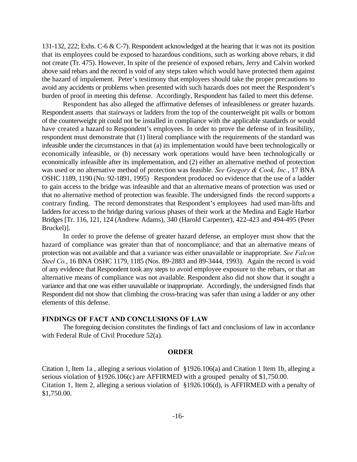131-132, 222; Exhs. C-6 & C-7). Respondent acknowledged at the hearing that it was not its position that its employees could be exposed to hazardous conditions, such as working above rebars, it did not create (Tr. 475). However, In spite of the presence of exposed rebars, Jerry and Calvin worked above said rebars and the record is void of any steps taken which would have protected them against the hazard of impalement. Peter's testimony that employees should take the proper precautions to avoid any accidents or problems when presented with such hazards does not meet the Respondent's burden of proof in meeting this defense. Accordingly, Respondent has failed to meet this defense.

Respondent has also alleged the affirmative defenses of infeasibleness or greater hazards. Respondent asserts that stairways or ladders from the top of the counterweight pit walls or bottom of the counterweight pit could not be installed in compliance with the applicable standards or would have created a hazard to Respondent's employees. In order to prove the defense of in feasibility, respondent must demonstrate that (1) literal compliance with the requirements of the standard was infeasible under the circumstances in that (a) its implementation would have been technologically or economically infeasible, or (b) necessary work operations would have been technologically or economically infeasible after its implementation, and (2) either an alternative method of protection was used or no alternative method of protection was feasible. *See Gregory & Cook, Inc.*, 17 BNA OSHC 1189, 1190 (No. 92-1891, 1995) Respondent produced no evidence that the use of a ladder to gain access to the bridge was infeasible and that an alternative means of protection was used or that no alternative method of protection was feasible. The undersigned finds the record supports a contrary finding. The record demonstrates that Respondent's employees had used man-lifts and ladders for access to the bridge during various phases of their work at the Medina and Eagle Harbor Bridges [Tr. 116, 121, 124 (Andrew Adams), 340 (Harold Carpenter), 422-423 and 494-495 (Peter Bruckel)].

In order to prove the defense of greater hazard defense, an employer must show that the hazard of compliance was greater than that of noncompliance; and that an alternative means of protection was not available and that a variance was either unavailable or inappropriate. *See Falcon Steel Co.*, 16 BNA OSHC 1179, 1185 (Nos. 89-2883 and 89-3444, 1993). Again the record is void of any evidence that Respondent took any steps to avoid employee exposure to the rebars, or that an alternative means of compliance was not available. Respondent also did not show that it sought a variance and that one was either unavailable or inappropriate. Accordingly, the undersigned finds that Respondent did not show that climbing the cross-bracing was safer than using a ladder or any other elements of this defense.

#### **FINDINGS OF FACT AND CONCLUSIONS OF LAW**

The foregoing decision constitutes the findings of fact and conclusions of law in accordance with Federal Rule of Civil Procedure 52(a).

#### **ORDER**

Citation 1, Item 1a , alleging a serious violation of §1926.106(a) and Citation 1 Item 1b, alleging a serious violation of §1926.106(c) are AFFIRMED with a grouped penalty of \$1,750.00. Citation 1, Item 2, alleging a serious violation of §1926.106(d), is AFFIRMED with a penalty of \$1,750.00.